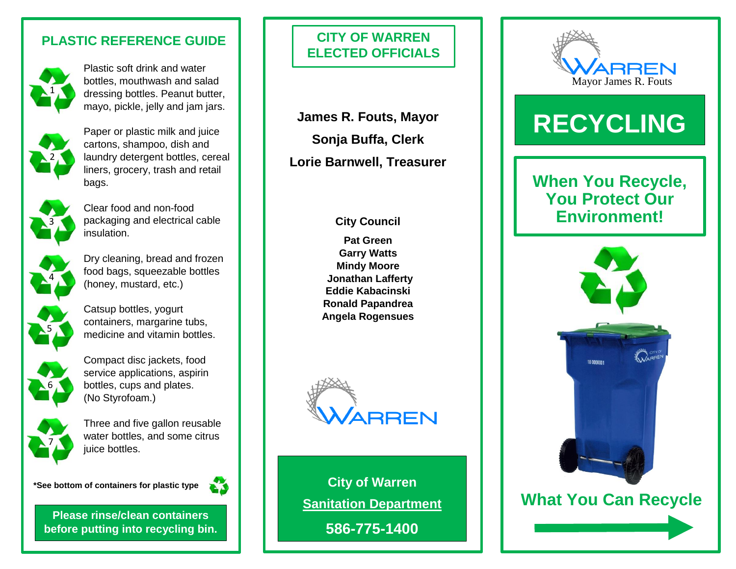### **PLASTIC REFERENCE GUIDE**



Plastic soft drink and water bottles, mouthwash and salad dressing bottles. Peanut butter, mayo, pickle, jelly and jam jars.



Paper or plastic milk and juice cartons, shampoo, dish and laundry detergent bottles, cereal liners, grocery, trash and retail bags.



Clear food and non-food packaging and electrical cable insulation.



Dry cleaning, bread and frozen food bags, squeezable bottles (honey, mustard, etc.)



Catsup bottles, yogurt containers, margarine tubs, medicine and vitamin bottles.



Compact disc jackets, food service applications, aspirin bottles, cups and plates. (No Styrofoam.)



Three and five gallon reusable water bottles, and some citrus juice bottles.

**\*See bottom of containers for plastic type**



**Please rinse/clean containers before putting into recycling bin.**

## **CITY OF WARREN ELECTED OFFICIALS**

**James R. Fouts, Mayor Sonja Buffa, Clerk Lorie Barnwell, Treasurer**

#### **City Council**

**Pat Green Garry Watts Mindy Moore Jonathan Lafferty Eddie Kabacinski Ronald Papandrea Angela Rogensues**



**City of Warren Sanitation Department**

**586-775-1400**



# **RECYCLING**

## **When You Recycle, You Protect Our Environment!**



 **What You Can Recycle**